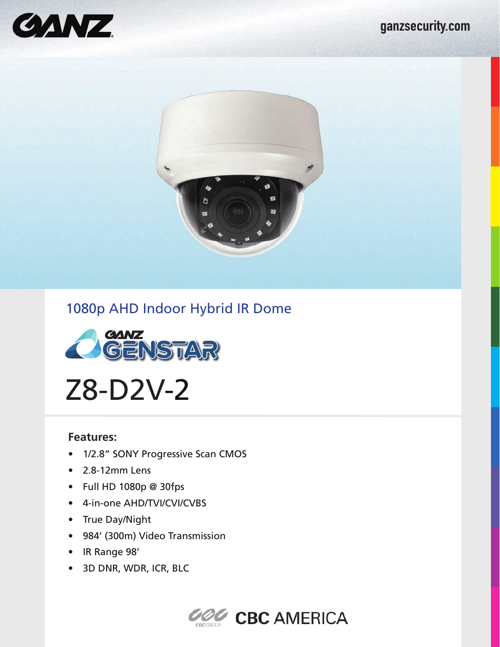

## 1080p AHD Indoor Hybrid IR Dome



Z8-D2V-2

## **Features:**

- 1/2.8" SONY Progressive Scan CMOS
- 2.8-12mm Lens
- Full HD 1080p @ 30fps
- 4-in-one AHD/TVI/CVI/CVBS
- True Day/Night
- 984' (300m) Video Transmission
- IR Range 98'
- 3D DNR, WDR, ICR, BLC